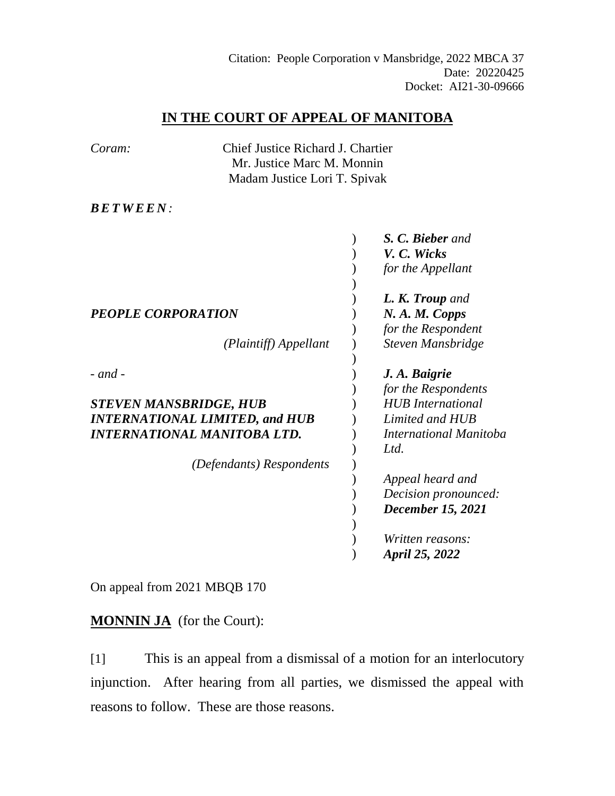# **IN THE COURT OF APPEAL OF MANITOBA**

| Coram:                                | Chief Justice Richard J. Chartier |                               |
|---------------------------------------|-----------------------------------|-------------------------------|
|                                       | Mr. Justice Marc M. Monnin        |                               |
|                                       | Madam Justice Lori T. Spivak      |                               |
| <b>BETWEEN:</b>                       |                                   |                               |
|                                       |                                   | S. C. Bieber and              |
|                                       |                                   | V. C. Wicks                   |
|                                       |                                   | for the Appellant             |
|                                       |                                   | L. K. Troup and               |
| <b>PEOPLE CORPORATION</b>             |                                   | N.A.M. Copps                  |
|                                       |                                   | for the Respondent            |
|                                       | (Plaintiff) Appellant             | Steven Mansbridge             |
| $-$ and $-$                           |                                   | J. A. Baigrie                 |
|                                       |                                   | for the Respondents           |
| <b>STEVEN MANSBRIDGE, HUB</b>         |                                   | <b>HUB</b> International      |
| <b>INTERNATIONAL LIMITED, and HUB</b> |                                   | Limited and HUB               |
| <b>INTERNATIONAL MANITOBA LTD.</b>    |                                   | <b>International Manitoba</b> |
|                                       |                                   | Ltd.                          |
| (Defendants) Respondents              |                                   |                               |
|                                       |                                   | Appeal heard and              |
|                                       |                                   | Decision pronounced:          |
|                                       |                                   | <b>December 15, 2021</b>      |
|                                       |                                   |                               |
|                                       |                                   | Written reasons:              |
|                                       |                                   | <b>April 25, 2022</b>         |

On appeal from 2021 MBQB 170

**MONNIN JA** (for the Court):

[1] This is an appeal from a dismissal of a motion for an interlocutory injunction. After hearing from all parties, we dismissed the appeal with reasons to follow. These are those reasons.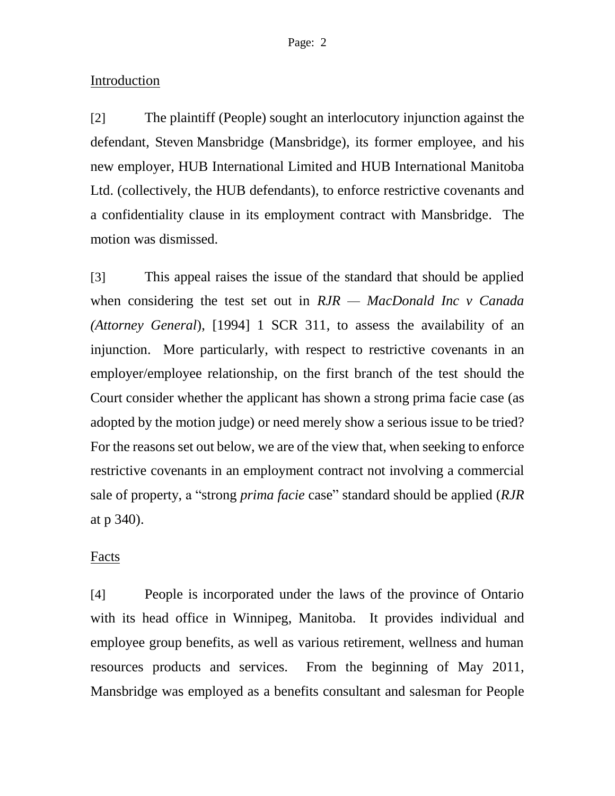## Introduction

[2] The plaintiff (People) sought an interlocutory injunction against the defendant, Steven Mansbridge (Mansbridge), its former employee, and his new employer, HUB International Limited and HUB International Manitoba Ltd. (collectively, the HUB defendants), to enforce restrictive covenants and a confidentiality clause in its employment contract with Mansbridge. The motion was dismissed.

[3] This appeal raises the issue of the standard that should be applied when considering the test set out in *RJR — MacDonald Inc v Canada (Attorney General*), [1994] 1 SCR 311, to assess the availability of an injunction. More particularly, with respect to restrictive covenants in an employer/employee relationship, on the first branch of the test should the Court consider whether the applicant has shown a strong prima facie case (as adopted by the motion judge) or need merely show a serious issue to be tried? For the reasons set out below, we are of the view that, when seeking to enforce restrictive covenants in an employment contract not involving a commercial sale of property, a "strong *prima facie* case" standard should be applied (*RJR* at p 340).

### Facts

[4] People is incorporated under the laws of the province of Ontario with its head office in Winnipeg, Manitoba. It provides individual and employee group benefits, as well as various retirement, wellness and human resources products and services. From the beginning of May 2011, Mansbridge was employed as a benefits consultant and salesman for People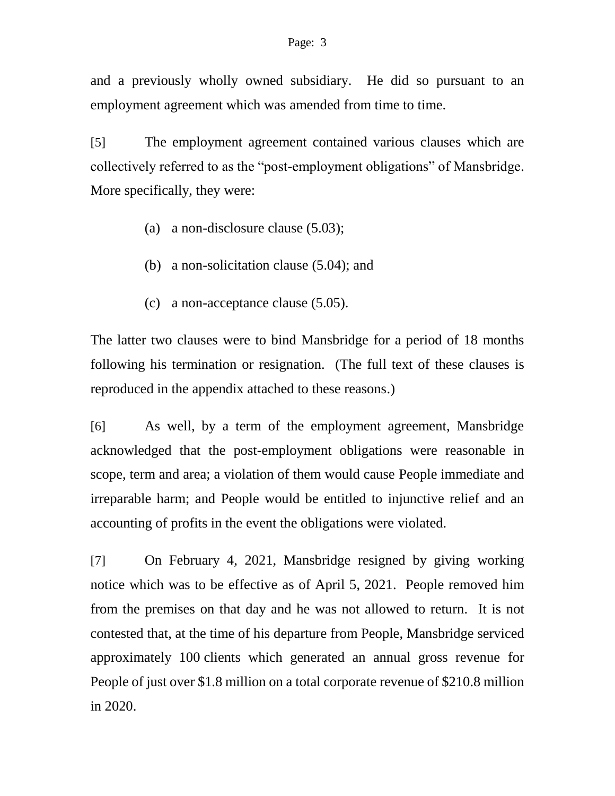and a previously wholly owned subsidiary. He did so pursuant to an employment agreement which was amended from time to time.

[5] The employment agreement contained various clauses which are collectively referred to as the "post-employment obligations" of Mansbridge. More specifically, they were:

- (a) a non-disclosure clause (5.03);
- (b) a non-solicitation clause (5.04); and
- (c) a non-acceptance clause (5.05).

The latter two clauses were to bind Mansbridge for a period of 18 months following his termination or resignation. (The full text of these clauses is reproduced in the appendix attached to these reasons.)

[6] As well, by a term of the employment agreement, Mansbridge acknowledged that the post-employment obligations were reasonable in scope, term and area; a violation of them would cause People immediate and irreparable harm; and People would be entitled to injunctive relief and an accounting of profits in the event the obligations were violated.

[7] On February 4, 2021, Mansbridge resigned by giving working notice which was to be effective as of April 5, 2021. People removed him from the premises on that day and he was not allowed to return. It is not contested that, at the time of his departure from People, Mansbridge serviced approximately 100 clients which generated an annual gross revenue for People of just over \$1.8 million on a total corporate revenue of \$210.8 million in 2020.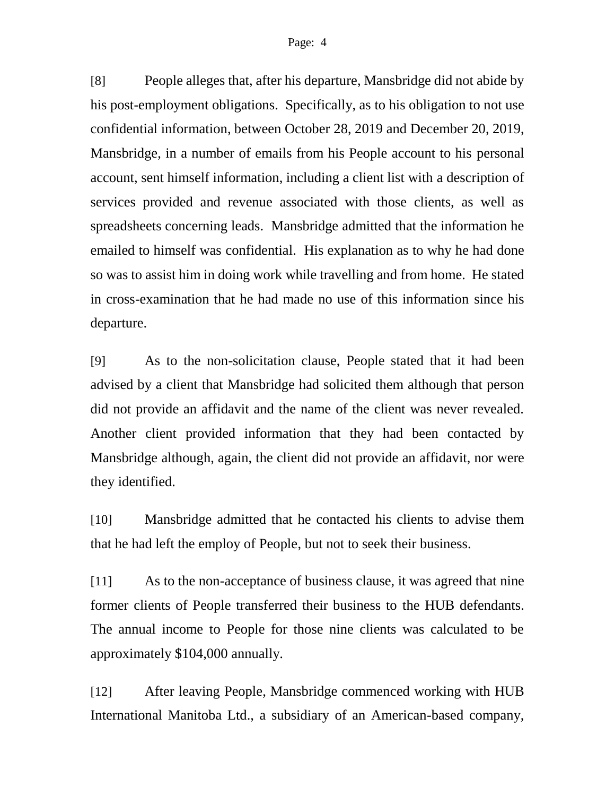[8] People alleges that, after his departure, Mansbridge did not abide by his post-employment obligations. Specifically, as to his obligation to not use confidential information, between October 28, 2019 and December 20, 2019, Mansbridge, in a number of emails from his People account to his personal account, sent himself information, including a client list with a description of services provided and revenue associated with those clients, as well as spreadsheets concerning leads. Mansbridge admitted that the information he emailed to himself was confidential. His explanation as to why he had done so was to assist him in doing work while travelling and from home. He stated in cross-examination that he had made no use of this information since his departure.

[9] As to the non-solicitation clause, People stated that it had been advised by a client that Mansbridge had solicited them although that person did not provide an affidavit and the name of the client was never revealed. Another client provided information that they had been contacted by Mansbridge although, again, the client did not provide an affidavit, nor were they identified.

[10] Mansbridge admitted that he contacted his clients to advise them that he had left the employ of People, but not to seek their business.

[11] As to the non-acceptance of business clause, it was agreed that nine former clients of People transferred their business to the HUB defendants. The annual income to People for those nine clients was calculated to be approximately \$104,000 annually.

[12] After leaving People, Mansbridge commenced working with HUB International Manitoba Ltd., a subsidiary of an American-based company,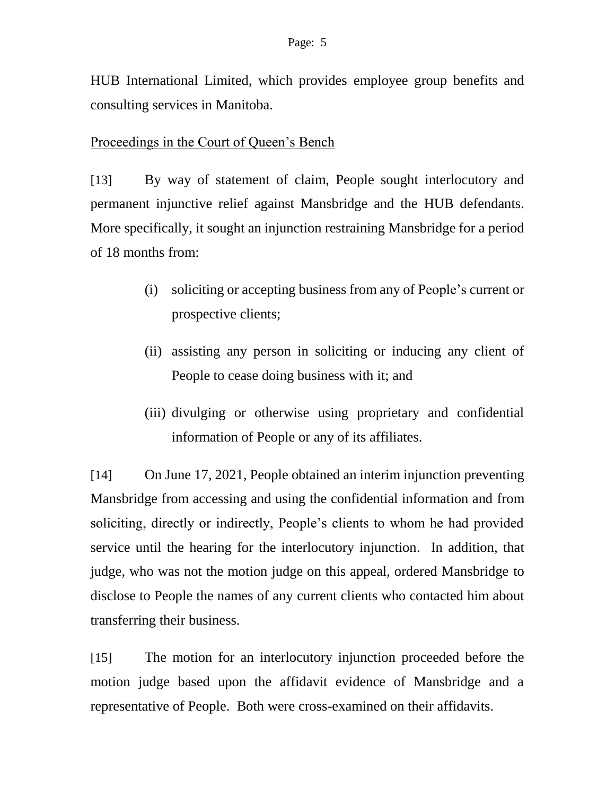HUB International Limited, which provides employee group benefits and consulting services in Manitoba.

# Proceedings in the Court of Queen's Bench

[13] By way of statement of claim, People sought interlocutory and permanent injunctive relief against Mansbridge and the HUB defendants. More specifically, it sought an injunction restraining Mansbridge for a period of 18 months from:

- (i) soliciting or accepting business from any of People's current or prospective clients;
- (ii) assisting any person in soliciting or inducing any client of People to cease doing business with it; and
- (iii) divulging or otherwise using proprietary and confidential information of People or any of its affiliates.

[14] On June 17, 2021, People obtained an interim injunction preventing Mansbridge from accessing and using the confidential information and from soliciting, directly or indirectly, People's clients to whom he had provided service until the hearing for the interlocutory injunction. In addition, that judge, who was not the motion judge on this appeal, ordered Mansbridge to disclose to People the names of any current clients who contacted him about transferring their business.

[15] The motion for an interlocutory injunction proceeded before the motion judge based upon the affidavit evidence of Mansbridge and a representative of People. Both were cross-examined on their affidavits.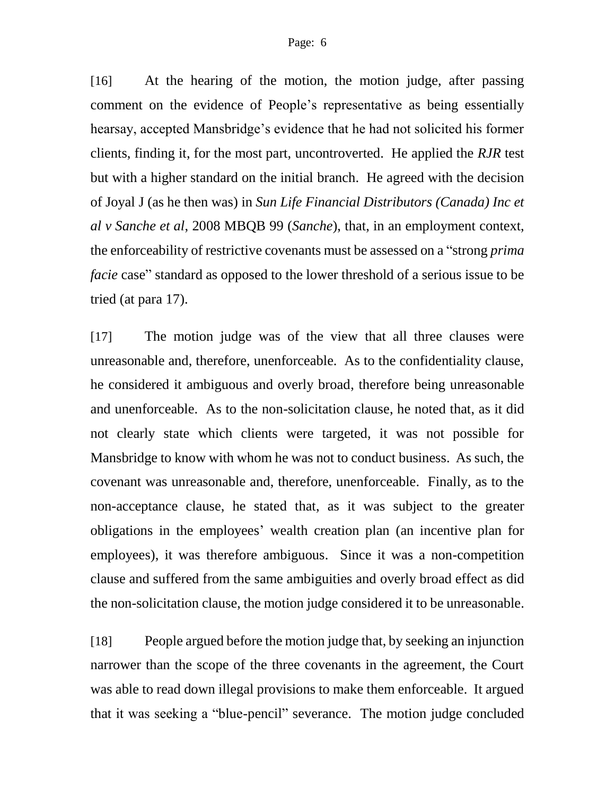[16] At the hearing of the motion, the motion judge, after passing comment on the evidence of People's representative as being essentially hearsay, accepted Mansbridge's evidence that he had not solicited his former clients, finding it, for the most part, uncontroverted. He applied the *RJR* test but with a higher standard on the initial branch. He agreed with the decision of Joyal J (as he then was) in *Sun Life Financial Distributors (Canada) Inc et al v Sanche et al*, 2008 MBQB 99 (*Sanche*), that, in an employment context, the enforceability of restrictive covenants must be assessed on a "strong *prima facie* case" standard as opposed to the lower threshold of a serious issue to be tried (at para 17).

[17] The motion judge was of the view that all three clauses were unreasonable and, therefore, unenforceable. As to the confidentiality clause, he considered it ambiguous and overly broad, therefore being unreasonable and unenforceable. As to the non-solicitation clause, he noted that, as it did not clearly state which clients were targeted, it was not possible for Mansbridge to know with whom he was not to conduct business. As such, the covenant was unreasonable and, therefore, unenforceable. Finally, as to the non-acceptance clause, he stated that, as it was subject to the greater obligations in the employees' wealth creation plan (an incentive plan for employees), it was therefore ambiguous. Since it was a non-competition clause and suffered from the same ambiguities and overly broad effect as did the non-solicitation clause, the motion judge considered it to be unreasonable.

[18] People argued before the motion judge that, by seeking an injunction narrower than the scope of the three covenants in the agreement, the Court was able to read down illegal provisions to make them enforceable. It argued that it was seeking a "blue-pencil" severance. The motion judge concluded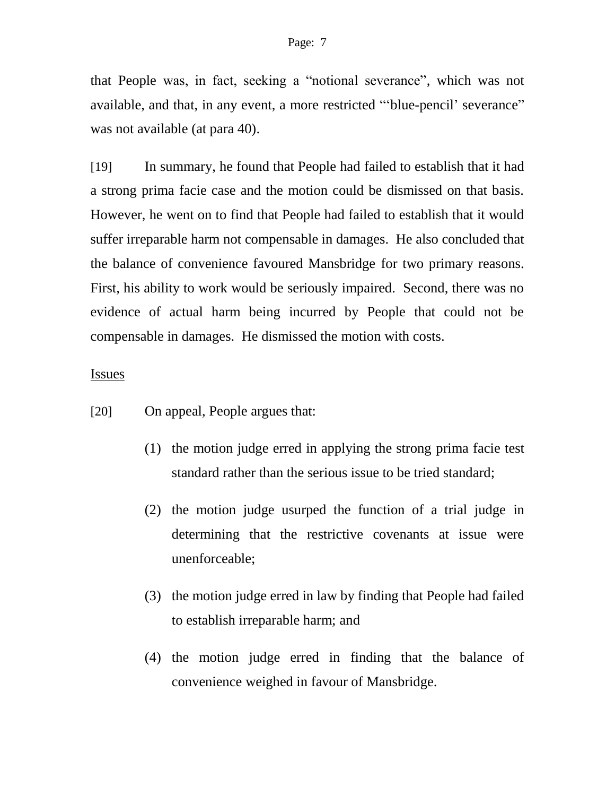that People was, in fact, seeking a "notional severance", which was not available, and that, in any event, a more restricted "'blue-pencil' severance" was not available (at para 40).

[19] In summary, he found that People had failed to establish that it had a strong prima facie case and the motion could be dismissed on that basis. However, he went on to find that People had failed to establish that it would suffer irreparable harm not compensable in damages. He also concluded that the balance of convenience favoured Mansbridge for two primary reasons. First, his ability to work would be seriously impaired. Second, there was no evidence of actual harm being incurred by People that could not be compensable in damages. He dismissed the motion with costs.

### Issues

- [20] On appeal, People argues that:
	- (1) the motion judge erred in applying the strong prima facie test standard rather than the serious issue to be tried standard;
	- (2) the motion judge usurped the function of a trial judge in determining that the restrictive covenants at issue were unenforceable;
	- (3) the motion judge erred in law by finding that People had failed to establish irreparable harm; and
	- (4) the motion judge erred in finding that the balance of convenience weighed in favour of Mansbridge.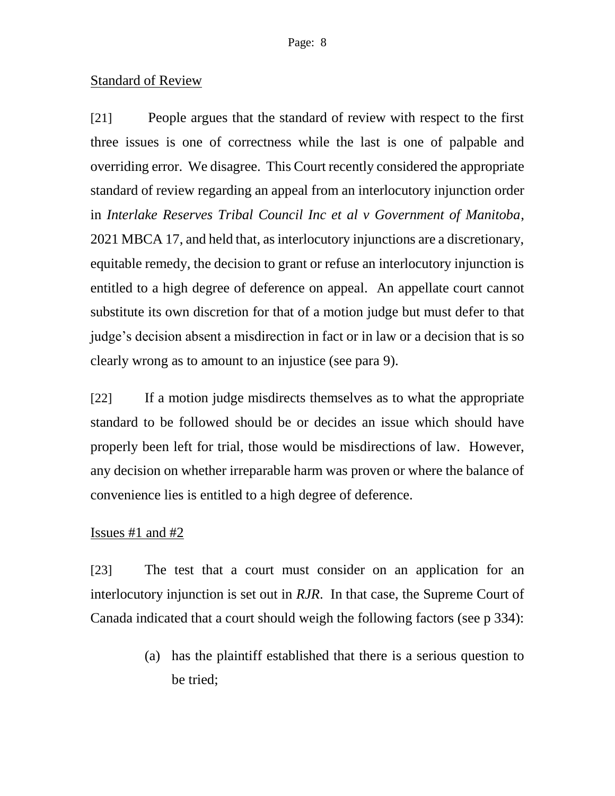# Standard of Review

[21] People argues that the standard of review with respect to the first three issues is one of correctness while the last is one of palpable and overriding error. We disagree. This Court recently considered the appropriate standard of review regarding an appeal from an interlocutory injunction order in *Interlake Reserves Tribal Council Inc et al v Government of Manitoba*, 2021 MBCA 17, and held that, as interlocutory injunctions are a discretionary, equitable remedy, the decision to grant or refuse an interlocutory injunction is entitled to a high degree of deference on appeal. An appellate court cannot substitute its own discretion for that of a motion judge but must defer to that judge's decision absent a misdirection in fact or in law or a decision that is so clearly wrong as to amount to an injustice (see para 9).

[22] If a motion judge misdirects themselves as to what the appropriate standard to be followed should be or decides an issue which should have properly been left for trial, those would be misdirections of law. However, any decision on whether irreparable harm was proven or where the balance of convenience lies is entitled to a high degree of deference.

# Issues  $#1$  and  $#2$

[23] The test that a court must consider on an application for an interlocutory injunction is set out in *RJR*. In that case, the Supreme Court of Canada indicated that a court should weigh the following factors (see p 334):

> (a) has the plaintiff established that there is a serious question to be tried;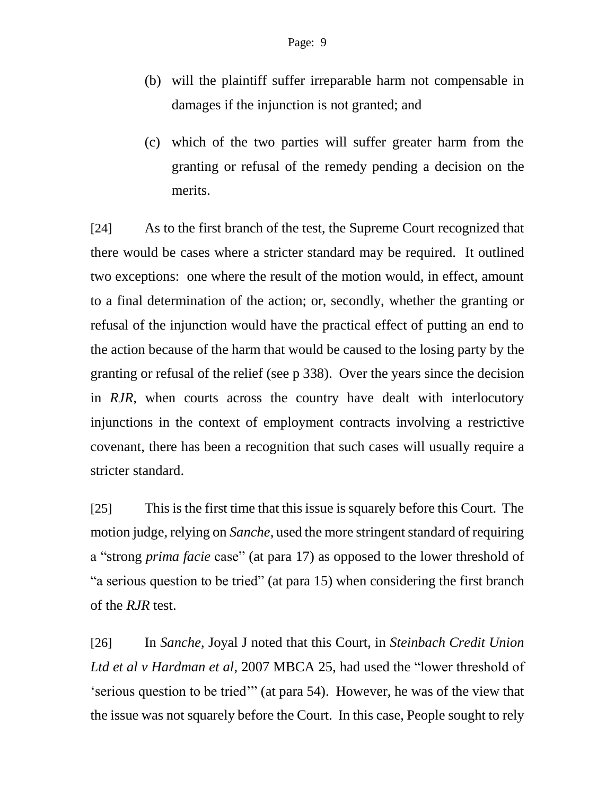- (b) will the plaintiff suffer irreparable harm not compensable in damages if the injunction is not granted; and
- (c) which of the two parties will suffer greater harm from the granting or refusal of the remedy pending a decision on the merits.

[24] As to the first branch of the test, the Supreme Court recognized that there would be cases where a stricter standard may be required. It outlined two exceptions: one where the result of the motion would, in effect, amount to a final determination of the action; or, secondly, whether the granting or refusal of the injunction would have the practical effect of putting an end to the action because of the harm that would be caused to the losing party by the granting or refusal of the relief (see p 338). Over the years since the decision in *RJR*, when courts across the country have dealt with interlocutory injunctions in the context of employment contracts involving a restrictive covenant, there has been a recognition that such cases will usually require a stricter standard.

[25] This is the first time that this issue is squarely before this Court. The motion judge, relying on *Sanche*, used the more stringent standard of requiring a "strong *prima facie* case" (at para 17) as opposed to the lower threshold of "a serious question to be tried" (at para 15) when considering the first branch of the *RJR* test.

[26] In *Sanche*, Joyal J noted that this Court, in *Steinbach Credit Union Ltd et al v Hardman et al*, 2007 MBCA 25, had used the "lower threshold of 'serious question to be tried'" (at para 54). However, he was of the view that the issue was not squarely before the Court. In this case, People sought to rely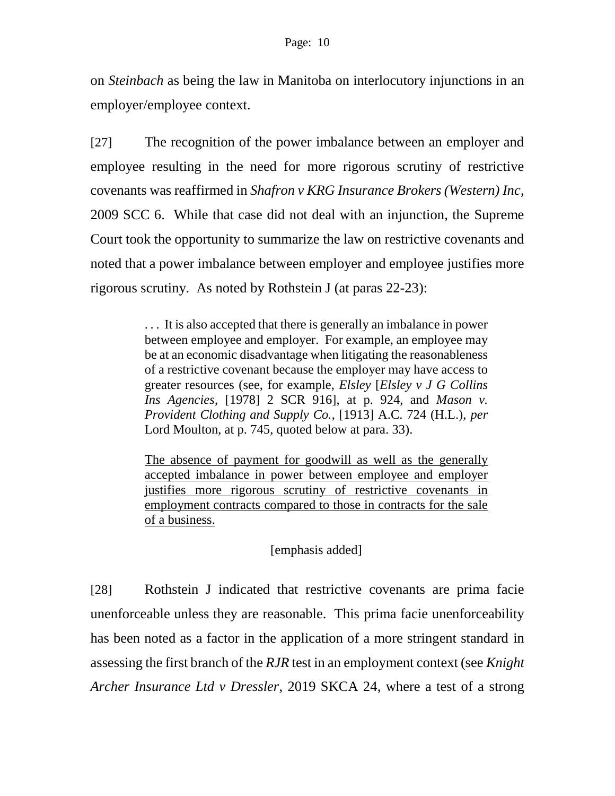on *Steinbach* as being the law in Manitoba on interlocutory injunctions in an employer/employee context.

[27] The recognition of the power imbalance between an employer and employee resulting in the need for more rigorous scrutiny of restrictive covenants was reaffirmed in *Shafron v KRG Insurance Brokers (Western) Inc*, 2009 SCC 6. While that case did not deal with an injunction, the Supreme Court took the opportunity to summarize the law on restrictive covenants and noted that a power imbalance between employer and employee justifies more rigorous scrutiny. As noted by Rothstein J (at paras 22-23):

> . . . It is also accepted that there is generally an imbalance in power between employee and employer. For example, an employee may be at an economic disadvantage when litigating the reasonableness of a restrictive covenant because the employer may have access to greater resources (see, for example, *Elsley* [*Elsley v J G Collins Ins Agencies*, [1978] 2 SCR 916], at p. 924, and *Mason v. Provident Clothing and Supply Co.*, [1913] A.C. 724 (H.L.), *per* Lord Moulton, at p. 745, quoted below at para. 33).

> The absence of payment for goodwill as well as the generally accepted imbalance in power between employee and employer justifies more rigorous scrutiny of restrictive covenants in employment contracts compared to those in contracts for the sale of a business.

> > [emphasis added]

[28] Rothstein J indicated that restrictive covenants are prima facie unenforceable unless they are reasonable. This prima facie unenforceability has been noted as a factor in the application of a more stringent standard in assessing the first branch of the *RJR* test in an employment context (see *Knight Archer Insurance Ltd v Dressler*, 2019 SKCA 24, where a test of a strong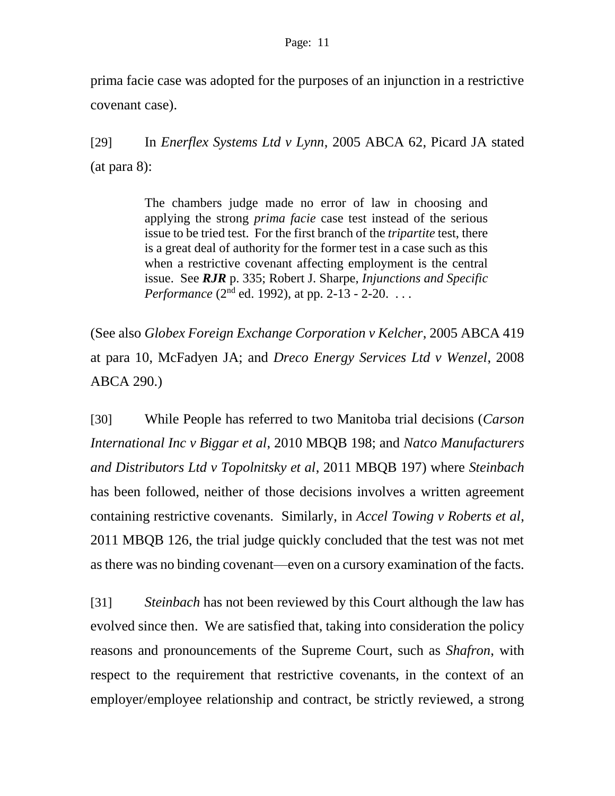prima facie case was adopted for the purposes of an injunction in a restrictive covenant case).

[29] In *Enerflex Systems Ltd v Lynn*, 2005 ABCA 62, Picard JA stated (at para 8):

> The chambers judge made no error of law in choosing and applying the strong *prima facie* case test instead of the serious issue to be tried test. For the first branch of the *tripartite* test, there is a great deal of authority for the former test in a case such as this when a restrictive covenant affecting employment is the central issue. See *RJR* p. 335; Robert J. Sharpe, *Injunctions and Specific Performance* (2<sup>nd</sup> ed. 1992), at pp. 2-13 - 2-20. ...

(See also *Globex Foreign Exchange Corporation v Kelcher*, 2005 ABCA 419 at para 10, McFadyen JA; and *Dreco Energy Services Ltd v Wenzel*, 2008 ABCA 290.)

[30] While People has referred to two Manitoba trial decisions (*Carson International Inc v Biggar et al*, 2010 MBQB 198; and *Natco Manufacturers and Distributors Ltd v Topolnitsky et al*, 2011 MBQB 197) where *Steinbach*  has been followed, neither of those decisions involves a written agreement containing restrictive covenants. Similarly, in *Accel Towing v Roberts et al*, 2011 MBQB 126, the trial judge quickly concluded that the test was not met as there was no binding covenant—even on a cursory examination of the facts.

[31] *Steinbach* has not been reviewed by this Court although the law has evolved since then. We are satisfied that, taking into consideration the policy reasons and pronouncements of the Supreme Court, such as *Shafron*, with respect to the requirement that restrictive covenants, in the context of an employer/employee relationship and contract, be strictly reviewed, a strong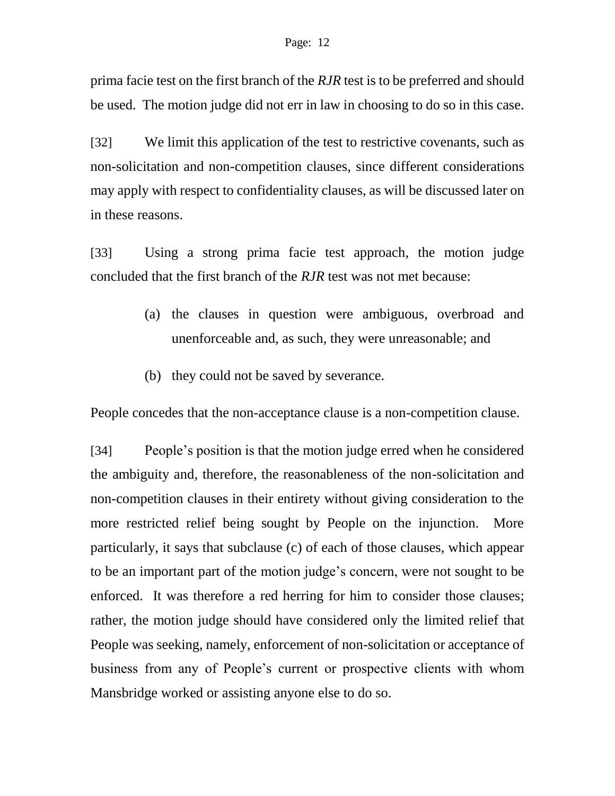prima facie test on the first branch of the *RJR* test is to be preferred and should be used. The motion judge did not err in law in choosing to do so in this case.

[32] We limit this application of the test to restrictive covenants, such as non-solicitation and non-competition clauses, since different considerations may apply with respect to confidentiality clauses, as will be discussed later on in these reasons.

[33] Using a strong prima facie test approach, the motion judge concluded that the first branch of the *RJR* test was not met because:

- (a) the clauses in question were ambiguous, overbroad and unenforceable and, as such, they were unreasonable; and
- (b) they could not be saved by severance.

People concedes that the non-acceptance clause is a non-competition clause.

[34] People's position is that the motion judge erred when he considered the ambiguity and, therefore, the reasonableness of the non-solicitation and non-competition clauses in their entirety without giving consideration to the more restricted relief being sought by People on the injunction. More particularly, it says that subclause (c) of each of those clauses, which appear to be an important part of the motion judge's concern, were not sought to be enforced. It was therefore a red herring for him to consider those clauses; rather, the motion judge should have considered only the limited relief that People was seeking, namely, enforcement of non-solicitation or acceptance of business from any of People's current or prospective clients with whom Mansbridge worked or assisting anyone else to do so.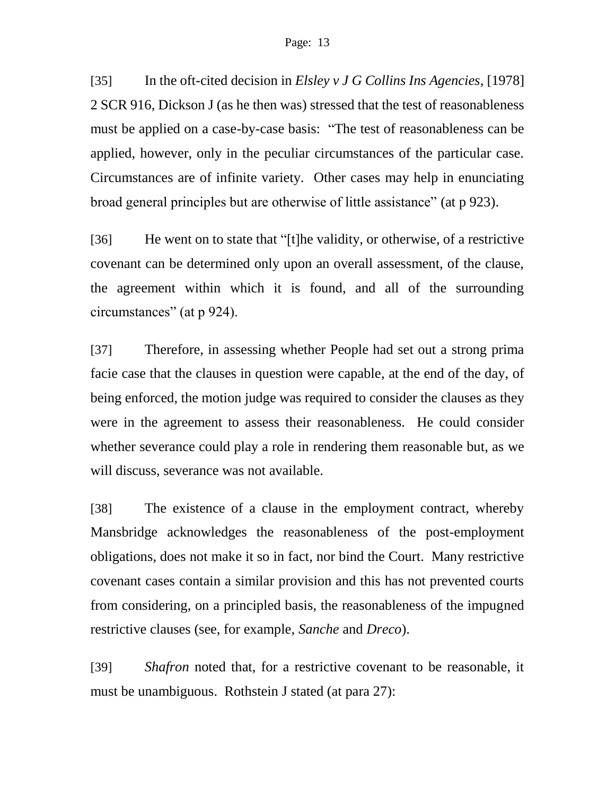[35] In the oft-cited decision in *Elsley v J G Collins Ins Agencies*, [1978] 2 SCR 916, Dickson J (as he then was) stressed that the test of reasonableness must be applied on a case-by-case basis: "The test of reasonableness can be applied, however, only in the peculiar circumstances of the particular case. Circumstances are of infinite variety. Other cases may help in enunciating broad general principles but are otherwise of little assistance" (at p 923).

[36] He went on to state that "[t]he validity, or otherwise, of a restrictive covenant can be determined only upon an overall assessment, of the clause, the agreement within which it is found, and all of the surrounding circumstances" (at p 924).

[37] Therefore, in assessing whether People had set out a strong prima facie case that the clauses in question were capable, at the end of the day, of being enforced, the motion judge was required to consider the clauses as they were in the agreement to assess their reasonableness. He could consider whether severance could play a role in rendering them reasonable but, as we will discuss, severance was not available.

[38] The existence of a clause in the employment contract, whereby Mansbridge acknowledges the reasonableness of the post-employment obligations, does not make it so in fact, nor bind the Court. Many restrictive covenant cases contain a similar provision and this has not prevented courts from considering, on a principled basis, the reasonableness of the impugned restrictive clauses (see, for example, *Sanche* and *Dreco*).

[39] *Shafron* noted that, for a restrictive covenant to be reasonable, it must be unambiguous. Rothstein J stated (at para 27):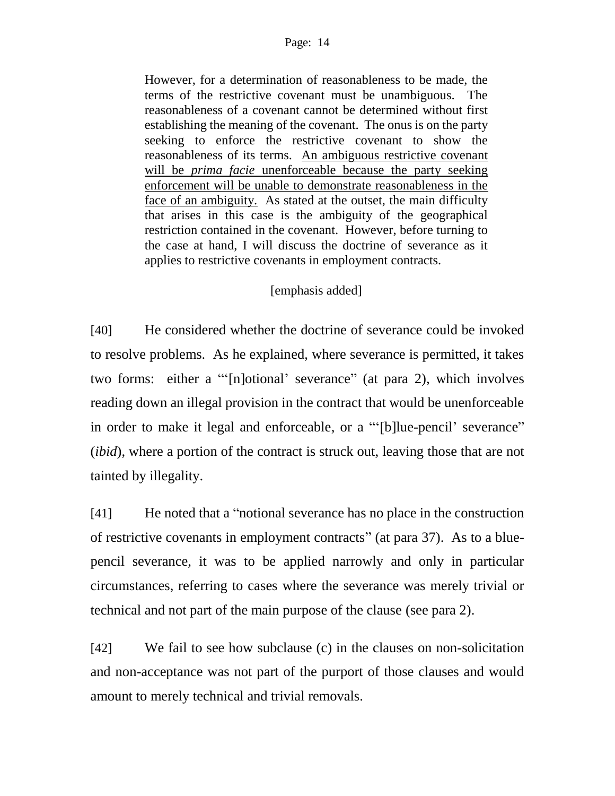However, for a determination of reasonableness to be made, the terms of the restrictive covenant must be unambiguous. The reasonableness of a covenant cannot be determined without first establishing the meaning of the covenant. The onus is on the party seeking to enforce the restrictive covenant to show the reasonableness of its terms. An ambiguous restrictive covenant will be *prima facie* unenforceable because the party seeking enforcement will be unable to demonstrate reasonableness in the face of an ambiguity. As stated at the outset, the main difficulty that arises in this case is the ambiguity of the geographical restriction contained in the covenant. However, before turning to the case at hand, I will discuss the doctrine of severance as it applies to restrictive covenants in employment contracts.

## [emphasis added]

[40] He considered whether the doctrine of severance could be invoked to resolve problems. As he explained, where severance is permitted, it takes two forms: either a "'[n]otional' severance" (at para 2), which involves reading down an illegal provision in the contract that would be unenforceable in order to make it legal and enforceable, or a "'[b]lue-pencil' severance" (*ibid*), where a portion of the contract is struck out, leaving those that are not tainted by illegality.

[41] He noted that a "notional severance has no place in the construction of restrictive covenants in employment contracts" (at para 37). As to a bluepencil severance, it was to be applied narrowly and only in particular circumstances, referring to cases where the severance was merely trivial or technical and not part of the main purpose of the clause (see para 2).

[42] We fail to see how subclause (c) in the clauses on non-solicitation and non-acceptance was not part of the purport of those clauses and would amount to merely technical and trivial removals.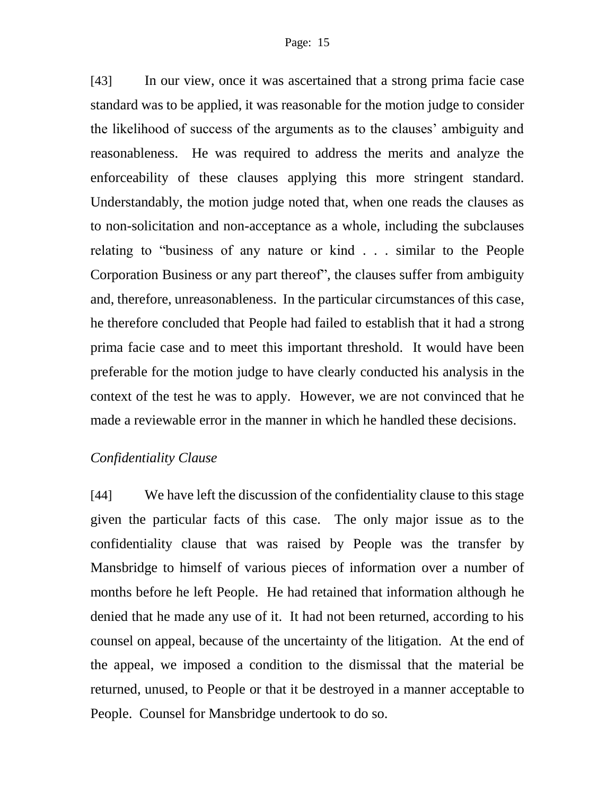[43] In our view, once it was ascertained that a strong prima facie case standard was to be applied, it was reasonable for the motion judge to consider the likelihood of success of the arguments as to the clauses' ambiguity and reasonableness. He was required to address the merits and analyze the enforceability of these clauses applying this more stringent standard. Understandably, the motion judge noted that, when one reads the clauses as to non-solicitation and non-acceptance as a whole, including the subclauses relating to "business of any nature or kind . . . similar to the People Corporation Business or any part thereof", the clauses suffer from ambiguity and, therefore, unreasonableness. In the particular circumstances of this case, he therefore concluded that People had failed to establish that it had a strong prima facie case and to meet this important threshold. It would have been preferable for the motion judge to have clearly conducted his analysis in the context of the test he was to apply. However, we are not convinced that he made a reviewable error in the manner in which he handled these decisions.

### *Confidentiality Clause*

[44] We have left the discussion of the confidentiality clause to this stage given the particular facts of this case. The only major issue as to the confidentiality clause that was raised by People was the transfer by Mansbridge to himself of various pieces of information over a number of months before he left People. He had retained that information although he denied that he made any use of it. It had not been returned, according to his counsel on appeal, because of the uncertainty of the litigation. At the end of the appeal, we imposed a condition to the dismissal that the material be returned, unused, to People or that it be destroyed in a manner acceptable to People. Counsel for Mansbridge undertook to do so.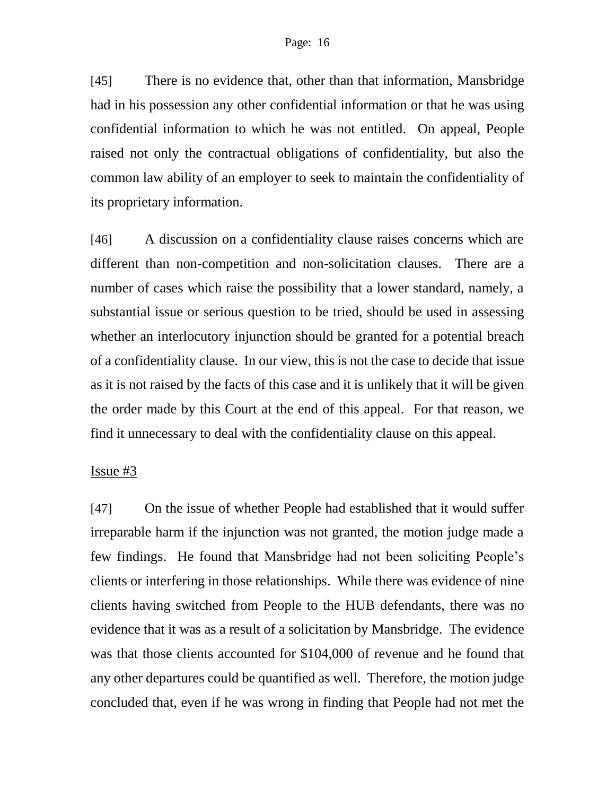[45] There is no evidence that, other than that information, Mansbridge had in his possession any other confidential information or that he was using confidential information to which he was not entitled. On appeal, People raised not only the contractual obligations of confidentiality, but also the common law ability of an employer to seek to maintain the confidentiality of its proprietary information.

[46] A discussion on a confidentiality clause raises concerns which are different than non-competition and non-solicitation clauses. There are a number of cases which raise the possibility that a lower standard, namely, a substantial issue or serious question to be tried, should be used in assessing whether an interlocutory injunction should be granted for a potential breach of a confidentiality clause. In our view, this is not the case to decide that issue as it is not raised by the facts of this case and it is unlikely that it will be given the order made by this Court at the end of this appeal. For that reason, we find it unnecessary to deal with the confidentiality clause on this appeal.

### Issue #3

[47] On the issue of whether People had established that it would suffer irreparable harm if the injunction was not granted, the motion judge made a few findings. He found that Mansbridge had not been soliciting People's clients or interfering in those relationships. While there was evidence of nine clients having switched from People to the HUB defendants, there was no evidence that it was as a result of a solicitation by Mansbridge. The evidence was that those clients accounted for \$104,000 of revenue and he found that any other departures could be quantified as well. Therefore, the motion judge concluded that, even if he was wrong in finding that People had not met the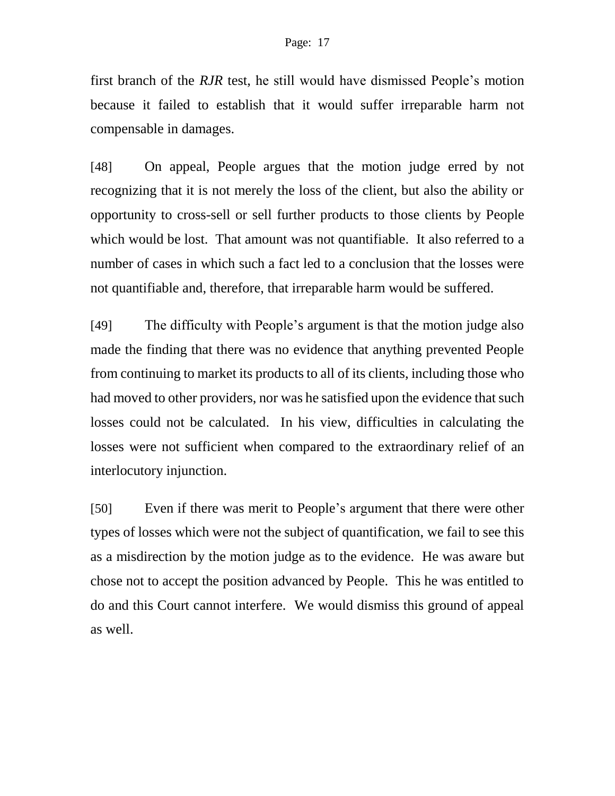first branch of the *RJR* test, he still would have dismissed People's motion because it failed to establish that it would suffer irreparable harm not compensable in damages.

[48] On appeal, People argues that the motion judge erred by not recognizing that it is not merely the loss of the client, but also the ability or opportunity to cross-sell or sell further products to those clients by People which would be lost. That amount was not quantifiable. It also referred to a number of cases in which such a fact led to a conclusion that the losses were not quantifiable and, therefore, that irreparable harm would be suffered.

[49] The difficulty with People's argument is that the motion judge also made the finding that there was no evidence that anything prevented People from continuing to market its products to all of its clients, including those who had moved to other providers, nor was he satisfied upon the evidence that such losses could not be calculated. In his view, difficulties in calculating the losses were not sufficient when compared to the extraordinary relief of an interlocutory injunction.

[50] Even if there was merit to People's argument that there were other types of losses which were not the subject of quantification, we fail to see this as a misdirection by the motion judge as to the evidence. He was aware but chose not to accept the position advanced by People. This he was entitled to do and this Court cannot interfere. We would dismiss this ground of appeal as well.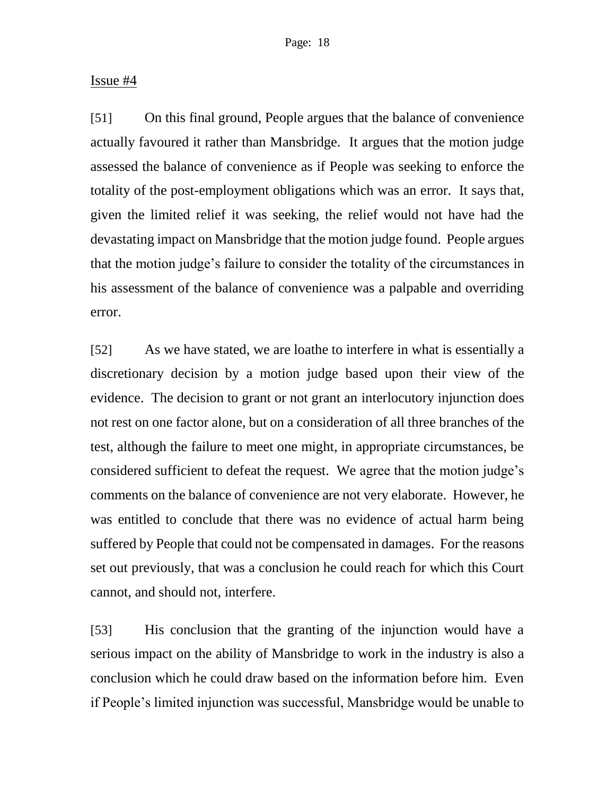### Issue #4

[51] On this final ground, People argues that the balance of convenience actually favoured it rather than Mansbridge. It argues that the motion judge assessed the balance of convenience as if People was seeking to enforce the totality of the post-employment obligations which was an error. It says that, given the limited relief it was seeking, the relief would not have had the devastating impact on Mansbridge that the motion judge found. People argues that the motion judge's failure to consider the totality of the circumstances in his assessment of the balance of convenience was a palpable and overriding error.

[52] As we have stated, we are loathe to interfere in what is essentially a discretionary decision by a motion judge based upon their view of the evidence. The decision to grant or not grant an interlocutory injunction does not rest on one factor alone, but on a consideration of all three branches of the test, although the failure to meet one might, in appropriate circumstances, be considered sufficient to defeat the request. We agree that the motion judge's comments on the balance of convenience are not very elaborate. However, he was entitled to conclude that there was no evidence of actual harm being suffered by People that could not be compensated in damages. For the reasons set out previously, that was a conclusion he could reach for which this Court cannot, and should not, interfere.

[53] His conclusion that the granting of the injunction would have a serious impact on the ability of Mansbridge to work in the industry is also a conclusion which he could draw based on the information before him. Even if People's limited injunction was successful, Mansbridge would be unable to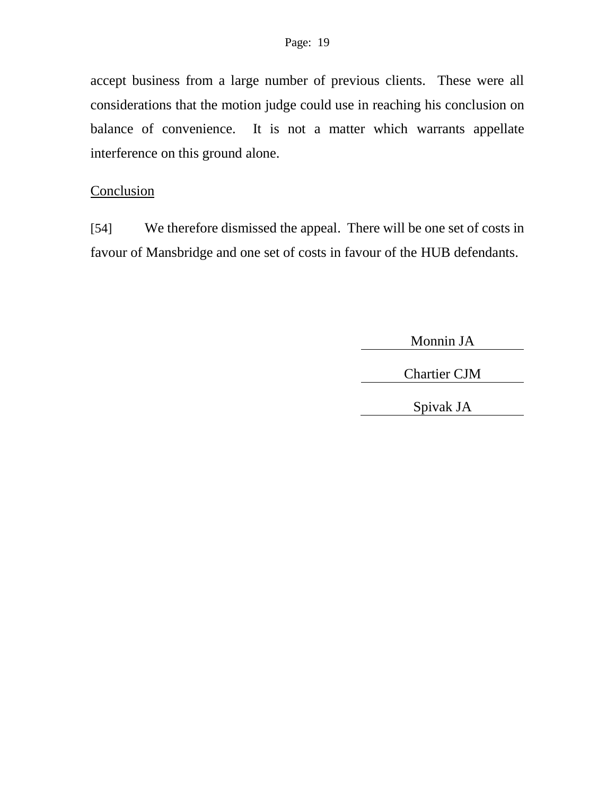accept business from a large number of previous clients. These were all considerations that the motion judge could use in reaching his conclusion on balance of convenience. It is not a matter which warrants appellate interference on this ground alone.

# **Conclusion**

[54] We therefore dismissed the appeal. There will be one set of costs in favour of Mansbridge and one set of costs in favour of the HUB defendants.

Monnin JA

Chartier CJM

Spivak JA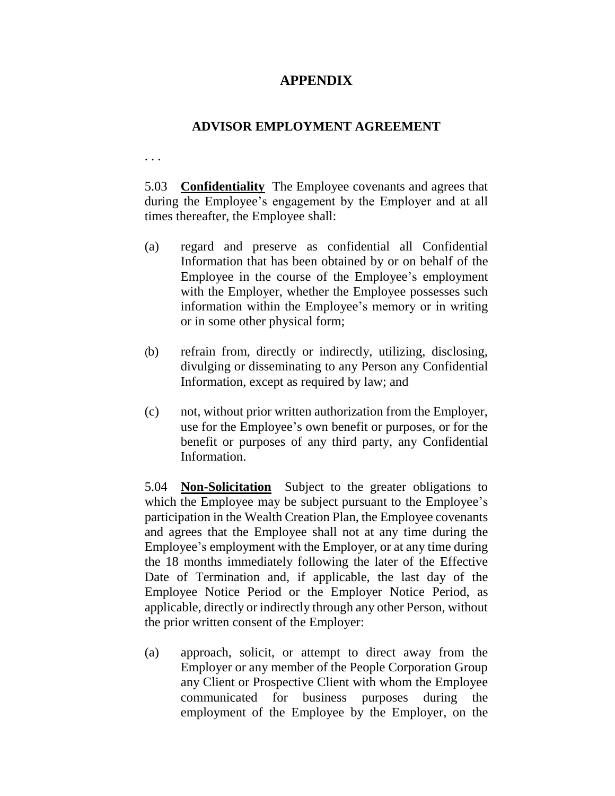## **APPENDIX**

### **ADVISOR EMPLOYMENT AGREEMENT**

. . .

5.03 **Confidentiality** The Employee covenants and agrees that during the Employee's engagement by the Employer and at all times thereafter, the Employee shall:

- (a) regard and preserve as confidential all Confidential Information that has been obtained by or on behalf of the Employee in the course of the Employee's employment with the Employer, whether the Employee possesses such information within the Employee's memory or in writing or in some other physical form;
- (b) refrain from, directly or indirectly, utilizing, disclosing, divulging or disseminating to any Person any Confidential Information, except as required by law; and
- (c) not, without prior written authorization from the Employer, use for the Employee's own benefit or purposes, or for the benefit or purposes of any third party, any Confidential Information.

5.04 **Non-Solicitation** Subject to the greater obligations to which the Employee may be subject pursuant to the Employee's participation in the Wealth Creation Plan, the Employee covenants and agrees that the Employee shall not at any time during the Employee's employment with the Employer, or at any time during the 18 months immediately following the later of the Effective Date of Termination and, if applicable, the last day of the Employee Notice Period or the Employer Notice Period, as applicable, directly or indirectly through any other Person, without the prior written consent of the Employer:

(a) approach, solicit, or attempt to direct away from the Employer or any member of the People Corporation Group any Client or Prospective Client with whom the Employee communicated for business purposes during the employment of the Employee by the Employer, on the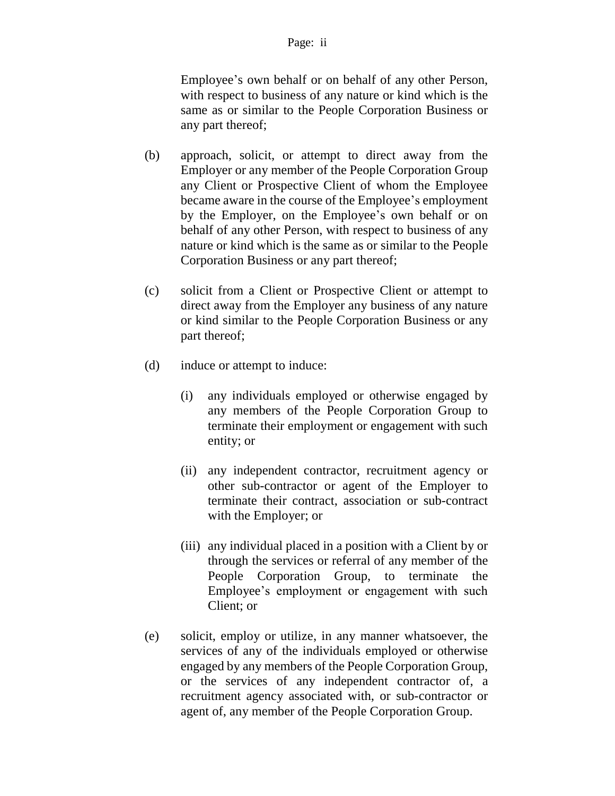Employee's own behalf or on behalf of any other Person, with respect to business of any nature or kind which is the same as or similar to the People Corporation Business or any part thereof;

- (b) approach, solicit, or attempt to direct away from the Employer or any member of the People Corporation Group any Client or Prospective Client of whom the Employee became aware in the course of the Employee's employment by the Employer, on the Employee's own behalf or on behalf of any other Person, with respect to business of any nature or kind which is the same as or similar to the People Corporation Business or any part thereof;
- (c) solicit from a Client or Prospective Client or attempt to direct away from the Employer any business of any nature or kind similar to the People Corporation Business or any part thereof;
- (d) induce or attempt to induce:
	- (i) any individuals employed or otherwise engaged by any members of the People Corporation Group to terminate their employment or engagement with such entity; or
	- (ii) any independent contractor, recruitment agency or other sub-contractor or agent of the Employer to terminate their contract, association or sub-contract with the Employer; or
	- (iii) any individual placed in a position with a Client by or through the services or referral of any member of the People Corporation Group, to terminate the Employee's employment or engagement with such Client; or
- (e) solicit, employ or utilize, in any manner whatsoever, the services of any of the individuals employed or otherwise engaged by any members of the People Corporation Group, or the services of any independent contractor of, a recruitment agency associated with, or sub-contractor or agent of, any member of the People Corporation Group.